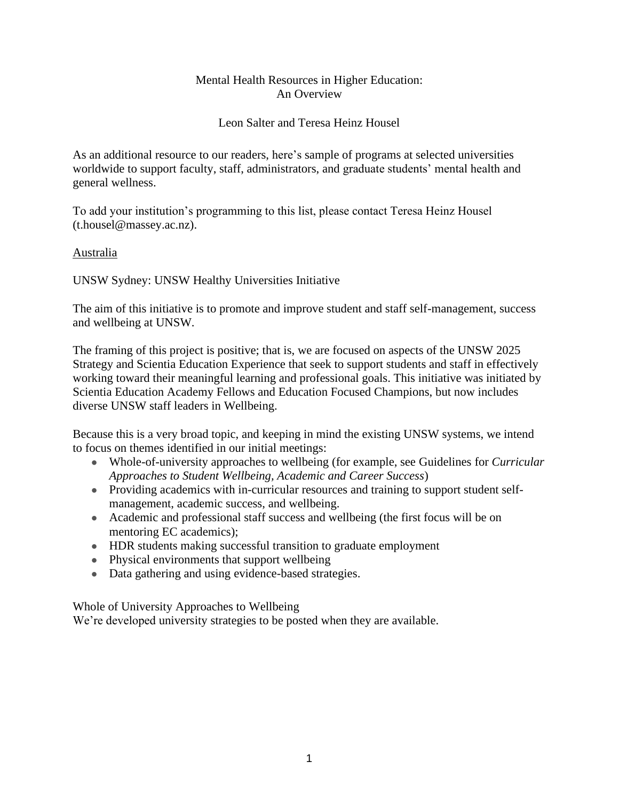# Mental Health Resources in Higher Education: An Overview

# Leon Salter and Teresa Heinz Housel

As an additional resource to our readers, here's sample of programs at selected universities worldwide to support faculty, staff, administrators, and graduate students' mental health and general wellness.

To add your institution's programming to this list, please contact Teresa Heinz Housel (t.housel@massey.ac.nz).

# Australia

UNSW Sydney: UNSW Healthy Universities Initiative

The aim of this initiative is to promote and improve student and staff self-management, success and wellbeing at UNSW.

The framing of this project is positive; that is, we are focused on aspects of the UNSW 2025 Strategy and Scientia Education Experience that seek to support students and staff in effectively working toward their meaningful learning and professional goals. This initiative was initiated by Scientia Education Academy Fellows and Education Focused Champions, but now includes diverse UNSW staff leaders in Wellbeing.

Because this is a very broad topic, and keeping in mind the existing UNSW systems, we intend to focus on themes identified in our initial meetings:

- Whole-of-university approaches to wellbeing (for example, see [Guidelines](https://teaching.unsw.edu.au/sites/default/files/u378/SEA_HealthyUniversities_Guidelines_Student_Wellbeing_14.08.2020.pdf) for *Curricular Approaches to Student Wellbeing, Academic and Career Success*)
- Providing academics with in-curricular resources and training to support student selfmanagement, academic success, and wellbeing.
- Academic and professional staff success and wellbeing (the first focus will be on mentoring EC academics);
- HDR students making successful transition to graduate employment
- Physical environments that support wellbeing
- Data gathering and using evidence-based strategies.

Whole of University Approaches to Wellbeing

We're developed university strategies to be posted when they are available.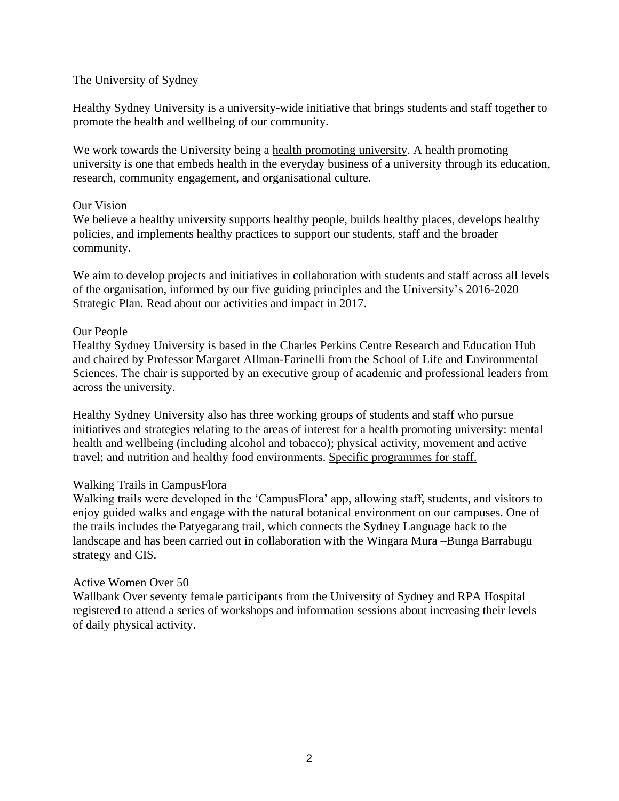# The University of Sydney

Healthy Sydney University is a university-wide initiative that brings students and staff together to promote the health and wellbeing of our community.

We work towards the University being a [health promoting university.](http://internationalhealthycampuses2015.sites.olt.ubc.ca/files/2016/01/Okanagan-Charter-January13v2.pdf) A health promoting university is one that embeds health in the everyday business of a university through its education, research, community engagement, and organisational culture.

#### Our Vision

We believe a healthy university supports healthy people, builds healthy places, develops healthy policies, and implements healthy practices to support our students, staff and the broader community.

We aim to develop projects and initiatives in collaboration with students and staff across all levels of the organisation, informed by our [five guiding principles](http://sydney.edu.au/dam/corporate/documents/about-us/values-and-visions/hsu-guiding-principles.pdf) and the University's [2016-2020](https://www.sydney.edu.au/about-us/vision-and-values/strategy.html)  [Strategic Plan.](https://www.sydney.edu.au/about-us/vision-and-values/strategy.html) [Read about our activities and impact in 2017.](https://www.sydney.edu.au/content/dam/corporate/documents/about-us/values-and-visions/HSU%20Impact%20Report.pdf)

#### Our People

Healthy Sydney University is based in the [Charles Perkins Centre Research and Education Hub](http://sydney.edu.au/perkins/) and chaired by [Professor Margaret Allman-Farinelli](http://sydney.edu.au/science/people/margaret.allman-farinelli.php) from the [School of Life and Environmental](http://sydney.edu.au/science/life-environment/)  [Sciences.](http://sydney.edu.au/science/life-environment/) The chair is supported by an executive group of academic and professional leaders from across the university.

Healthy Sydney University also has three working groups of students and staff who pursue initiatives and strategies relating to the areas of interest for a health promoting university: mental health and wellbeing (including alcohol and tobacco); physical activity, movement and active travel; and nutrition and healthy food environments. Specific programmes for staff.

# Walking Trails in CampusFlora

Walking trails were developed in the 'CampusFlora' app, allowing staff, students, and visitors to enjoy guided walks and engage with the natural botanical environment on our campuses. One of the trails includes the Patyegarang trail, which connects the Sydney Language back to the landscape and has been carried out in collaboration with the Wingara Mura –Bunga Barrabugu strategy and CIS.

# Active Women Over 50

Wallbank Over seventy female participants from the University of Sydney and RPA Hospital registered to attend a series of workshops and information sessions about increasing their levels of daily physical activity.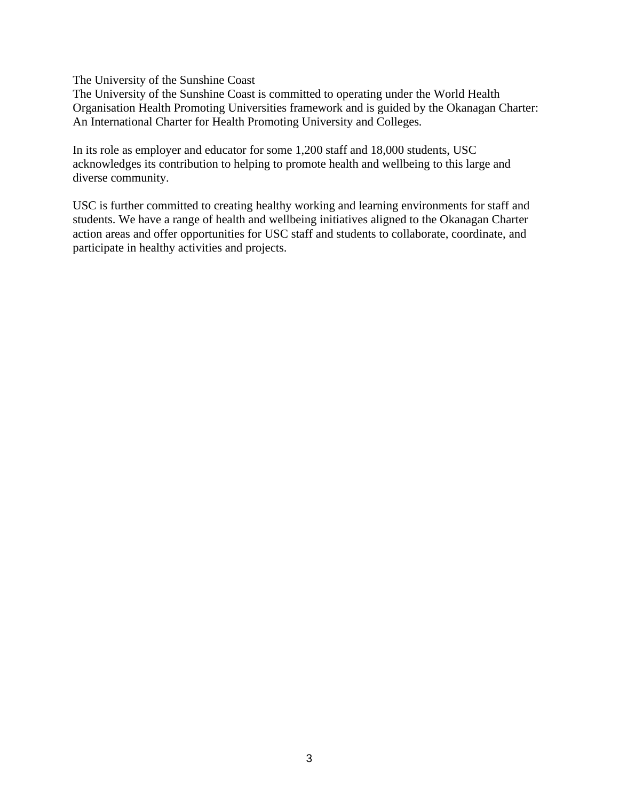The University of the Sunshine Coast

The University of the Sunshine Coast is committed to operating under the World Health Organisation [Health Promoting Universities framework](https://www.who.int/healthy_settings/types/universities/en/) and is guided by the [Okanagan Charter:](http://www.healthpromotingcampuses.ca/okanagancharter/)  [An International Charter for Health Promoting University and Colleges](http://www.healthpromotingcampuses.ca/okanagancharter/)*.*

In its role as employer and educator for some 1,200 staff and 18,000 students, USC acknowledges its contribution to helping to promote health and wellbeing to this large and diverse community.

USC is further committed to creating healthy working and learning environments for staff and students. We have a range of health and wellbeing initiatives aligned to the Okanagan Charter action areas and offer opportunities for USC staff and students to collaborate, coordinate, and participate in healthy activities and projects.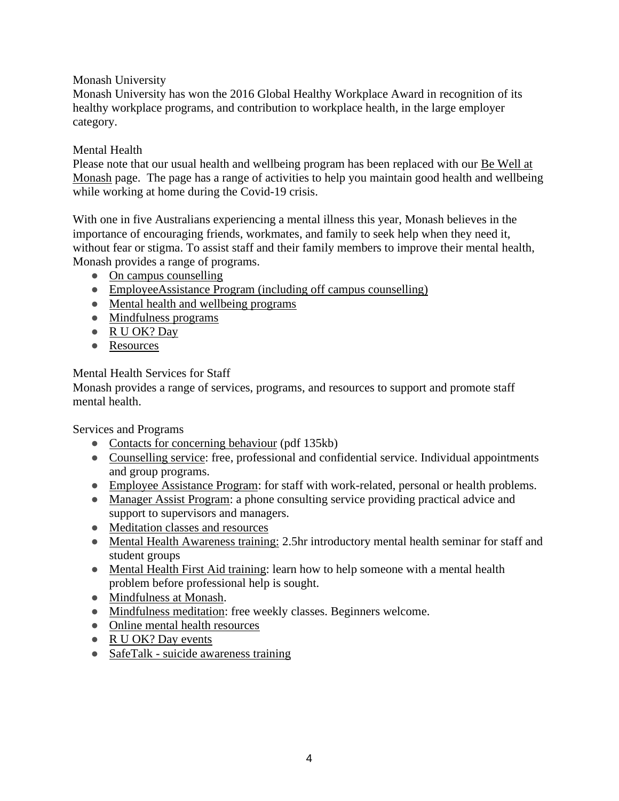Monash University

Monash University has won the 2016 Global Healthy Workplace Award in recognition of its healthy workplace programs, and contribution to workplace health, in the large employer category.

# Mental Health

Please note that our usual health and wellbeing program has been replaced with our [Be Well at](https://www.monash.edu/ohs/health-and-wellbeing/be-well-at-monash)  [Monash](https://www.monash.edu/ohs/health-and-wellbeing/be-well-at-monash) page. The page has a range of activities to help you maintain good health and wellbeing while working at home during the Covid-19 crisis.

With one in five Australians experiencing a mental illness this year, Monash believes in the importance of encouraging friends, workmates, and family to seek help when they need it, without fear or stigma. To assist staff and their family members to improve their mental health, Monash provides a range of programs.

- [On campus counselling](http://www.monash.edu/health/counselling)
- [EmployeeAssistance Program \(including off campus counselling\)](http://www.intranet.monash/hr/home/featured-items/row-2/featured-jobs/employee-assistance-program)
- [Mental health and wellbeing programs](http://www.monash.edu/health/mental-health-wellbeing/programs)
- [Mindfulness programs](http://www.monash.edu.au/counselling/mindfulness.html)
- [R U OK? Day](http://www.monash.edu/ruokday)
- [Resources](https://www.monash.edu/ohs/health-and-wellbeing/mental-health/resources)

# Mental Health Services for Staff

Monash provides a range of services, programs, and resources to support and promote staff mental health.

Services and Programs

- [Contacts for concerning behaviour](http://monash.edu/counselling/docs/mental-health-advice-and-contacts.pdf) (pdf 135kb)
- [Counselling service:](http://www.monash.edu.au/counselling/index.html) free, professional and confidential service. Individual appointments and group programs.
- [Employee Assistance Program:](http://www.adm.monash.edu.au/workplace-policy/staff-wellbeing/employee-assistance) for staff with work-related, personal or health problems.
- [Manager Assist Program:](http://www.adm.monash.edu.au/human-resources/counselling/manager-assist.html) a phone consulting service providing practical advice and support to supervisors and managers.
- [Meditation classes and resources](http://www.monash.edu.au/health-wellbeing/events/meditation-classes-resources.html)
- [Mental Health Awareness training:](http://monash.edu/counselling/mental-health-awareness.html) 2.5hr introductory mental health seminar for staff and student groups
- [Mental Health First Aid training:](http://www.adm.monash.edu.au/staff-development/ws/ohs/mental-health-firstaid.html) learn how to help someone with a mental health problem before professional help is sought.
- [Mindfulness at Monash.](http://www.monash.edu.au/health-wellbeing/staff/mindfulness.html)
- [Mindfulness meditation:](http://www.monash.edu.au/health-wellbeing/events/meditation-classes-resources.html) free weekly classes. Beginners welcome.
- [Online mental health resources](http://monash.edu/counselling/online-mental-health-resources.html)
- [R U OK? Day events](http://monash.edu/counselling/ruokday-2013.html)
- SafeTalk [suicide awareness training](http://www.monash.edu.au/counselling/safetalk.html)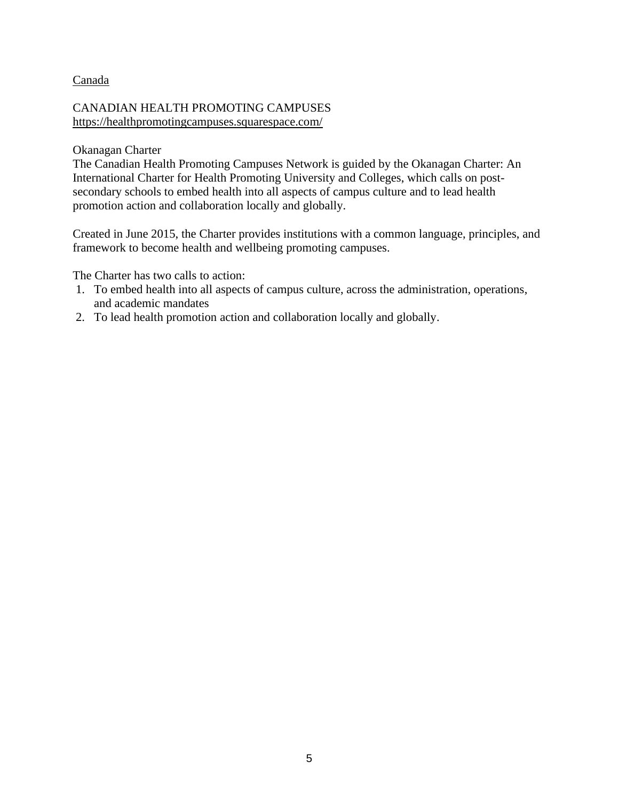# Canada

# CANADIAN HEALTH PROMOTING CAMPUSES <https://healthpromotingcampuses.squarespace.com/>

## Okanagan Charter

The Canadian Health Promoting Campuses Network is guided by the Okanagan Charter: An International Charter for Health Promoting University and Colleges, which calls on postsecondary schools to embed health into all aspects of campus culture and to lead health promotion action and collaboration locally and globally.

Created in June 2015, the Charter provides institutions with a common language, principles, and framework to become health and wellbeing promoting campuses.

The Charter has two calls to action:

- 1. To embed health into all aspects of campus culture, across the administration, operations, and academic mandates
- 2. To lead health promotion action and collaboration locally and globally.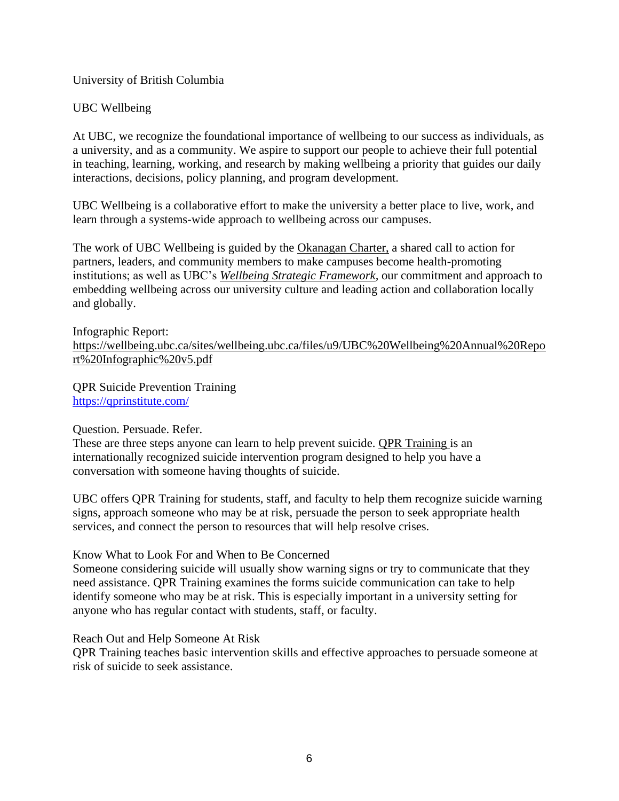University of British Columbia

# UBC Wellbeing

At UBC, we recognize the foundational importance of wellbeing to our success as individuals, as a university, and as a community. We aspire to support our people to achieve their full potential in teaching, learning, working, and research by making wellbeing a priority that guides our daily interactions, decisions, policy planning, and program development.

UBC Wellbeing is a collaborative effort to make the university a better place to live, work, and learn through a systems-wide approach to wellbeing across our campuses.

The work of UBC Wellbeing is guided by the [Okanagan Charter,](http://wellbeing.dp7prod.webi.it.ubc.ca/okanagan-charter) a shared call to action for partners, leaders, and community members to make campuses become health-promoting institutions; as well as UBC's *[Wellbeing Strategic Framework,](http://www.wellbeing.ubc.ca/framework)* our commitment and approach to embedding wellbeing across our university culture and leading action and collaboration locally and globally.

Infographic Report: [https://wellbeing.ubc.ca/sites/wellbeing.ubc.ca/files/u9/UBC%20Wellbeing%20Annual%20Repo](https://wellbeing.ubc.ca/sites/wellbeing.ubc.ca/files/u9/UBC%20Wellbeing%20Annual%20Report%20Infographic%20v5.pdf) [rt%20Infographic%20v5.pdf](https://wellbeing.ubc.ca/sites/wellbeing.ubc.ca/files/u9/UBC%20Wellbeing%20Annual%20Report%20Infographic%20v5.pdf)

QPR Suicide Prevention Training <https://qprinstitute.com/>

# Question. Persuade. Refer.

These are three steps anyone can learn to help prevent suicide. [QPR Training i](https://qprinstitute.com/)s an internationally recognized suicide intervention program designed to help you have a conversation with someone having thoughts of suicide.

UBC offers QPR Training for students, staff, and faculty to help them recognize suicide warning signs, approach someone who may be at risk, persuade the person to seek appropriate health services, and connect the person to resources that will help resolve crises.

Know What to Look For and When to Be Concerned

Someone considering suicide will usually show warning signs or try to communicate that they need assistance. QPR Training examines the forms suicide communication can take to help identify someone who may be at risk. This is especially important in a university setting for anyone who has regular contact with students, staff, or faculty.

Reach Out and Help Someone At Risk

QPR Training teaches basic intervention skills and effective approaches to persuade someone at risk of suicide to seek assistance.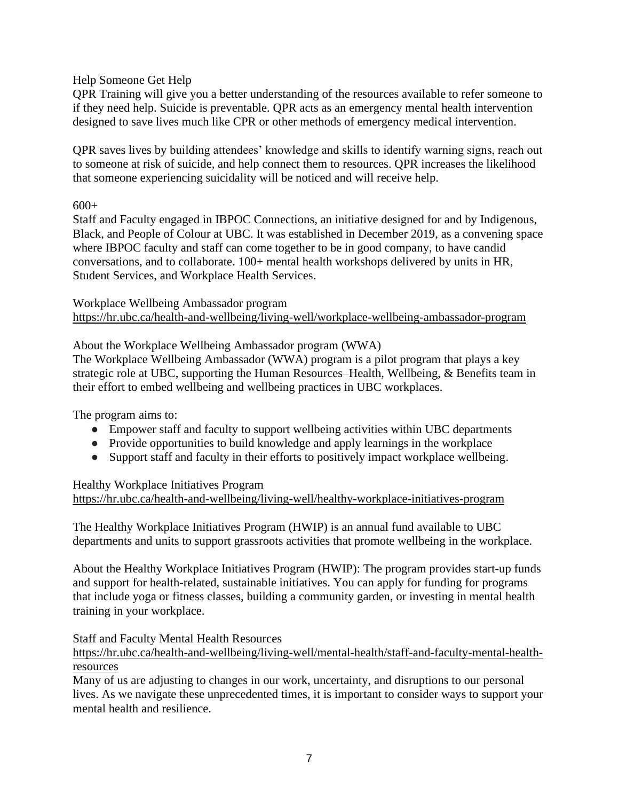# Help Someone Get Help

QPR Training will give you a better understanding of the resources available to refer someone to if they need help. Suicide is preventable. QPR acts as an emergency mental health intervention designed to save lives much like CPR or other methods of emergency medical intervention.

QPR saves lives by building attendees' knowledge and skills to identify warning signs, reach out to someone at risk of suicide, and help connect them to resources. QPR increases the likelihood that someone experiencing suicidality will be noticed and will receive help.

 $600+$ 

Staff and Faculty engaged in IBPOC Connections, an initiative designed for and by Indigenous, Black, and People of Colour at UBC. It was established in December 2019, as a convening space where IBPOC faculty and staff can come together to be in good company, to have candid conversations, and to collaborate. 100+ mental health workshops delivered by units in HR, Student Services, and Workplace Health Services.

Workplace Wellbeing Ambassador program <https://hr.ubc.ca/health-and-wellbeing/living-well/workplace-wellbeing-ambassador-program>

# About the Workplace Wellbeing Ambassador program (WWA)

The Workplace Wellbeing Ambassador (WWA) program is a pilot program that plays a key strategic role at UBC, supporting the Human Resources–Health, Wellbeing, & Benefits team in their effort to embed wellbeing and wellbeing practices in UBC workplaces.

The program aims to:

- Empower staff and faculty to support wellbeing activities within UBC departments
- Provide opportunities to build knowledge and apply learnings in the workplace
- Support staff and faculty in their efforts to positively impact workplace wellbeing.

#### Healthy Workplace Initiatives Program <https://hr.ubc.ca/health-and-wellbeing/living-well/healthy-workplace-initiatives-program>

The Healthy Workplace Initiatives Program (HWIP) is an annual fund available to UBC departments and units to support grassroots activities that promote wellbeing in the workplace.

About the Healthy Workplace Initiatives Program (HWIP): The program provides start-up funds and support for health-related, sustainable initiatives. You can apply for funding for programs that include yoga or fitness classes, building a community garden, or investing in mental health training in your workplace.

# Staff and Faculty Mental Health Resources

[https://hr.ubc.ca/health-and-wellbeing/living-well/mental-health/staff-and-faculty-mental-health](https://hr.ubc.ca/health-and-wellbeing/living-well/mental-health/staff-and-faculty-mental-health-resources)[resources](https://hr.ubc.ca/health-and-wellbeing/living-well/mental-health/staff-and-faculty-mental-health-resources)

Many of us are adjusting to changes in our work, uncertainty, and disruptions to our personal lives. As we navigate these unprecedented times, it is important to consider ways to support your mental health and resilience.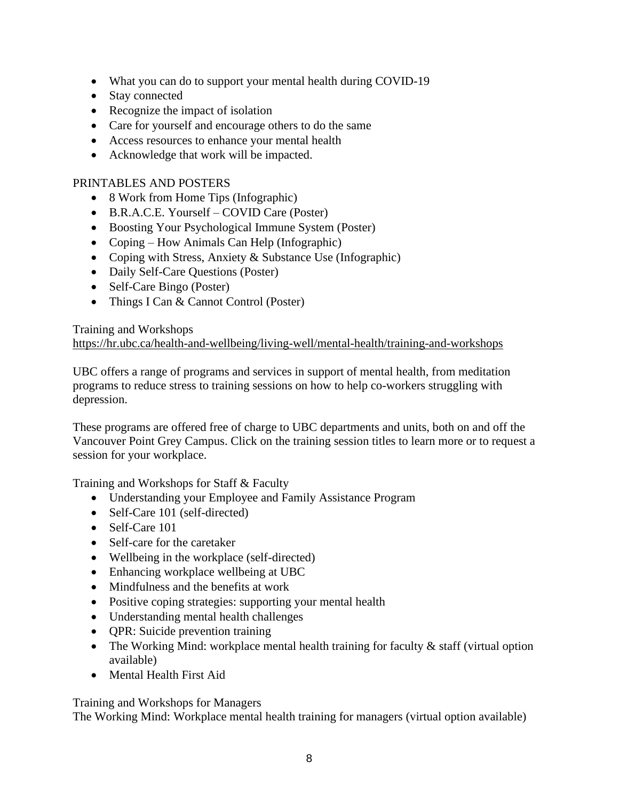- What you can do to support your mental health during COVID-19
- Stay connected
- Recognize the impact of isolation
- Care for yourself and encourage others to do the same
- Access resources to enhance your mental health
- Acknowledge that work will be impacted.

# PRINTABLES AND POSTERS

- 8 Work from Home Tips (Infographic)
- B.R.A.C.E. Yourself COVID Care (Poster)
- Boosting Your Psychological Immune System (Poster)
- Coping How Animals Can Help (Infographic)
- Coping with Stress, Anxiety & Substance Use (Infographic)
- Daily Self-Care Questions (Poster)
- Self-Care Bingo (Poster)
- Things I Can & Cannot Control (Poster)

# Training and Workshops <https://hr.ubc.ca/health-and-wellbeing/living-well/mental-health/training-and-workshops>

UBC offers a range of programs and services in support of mental health, from meditation programs to reduce stress to training sessions on how to help co-workers struggling with depression.

These programs are offered free of charge to UBC departments and units, both on and off the Vancouver Point Grey Campus. Click on the training session titles to learn more or to request a session for your workplace.

Training and Workshops for Staff & Faculty

- Understanding your Employee and Family Assistance Program
- Self-Care 101 (self-directed)
- Self-Care 101
- Self-care for the caretaker
- Wellbeing in the workplace (self-directed)
- Enhancing workplace wellbeing at UBC
- Mindfulness and the benefits at work
- Positive coping strategies: supporting your mental health
- Understanding mental health challenges
- QPR: Suicide prevention training
- The Working Mind: workplace mental health training for faculty & staff (virtual option available)
- Mental Health First Aid

Training and Workshops for Managers

The Working Mind: Workplace mental health training for managers (virtual option available)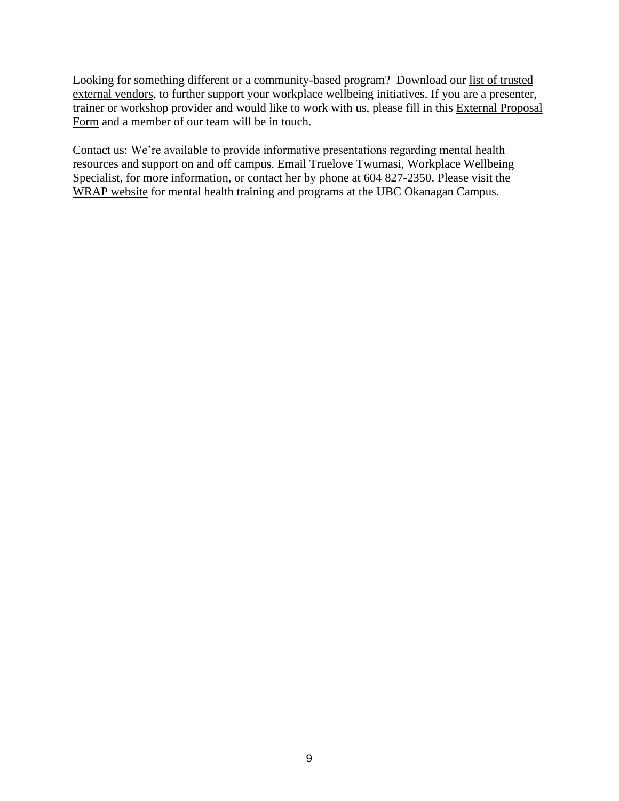Looking for something different or a community-based program? Download our [list of trusted](https://hr.ubc.ca/sites/default/files/2020-09/External%20vendour%20list%20%28Wellbeing%29.pdf)  [external vendors,](https://hr.ubc.ca/sites/default/files/2020-09/External%20vendour%20list%20%28Wellbeing%29.pdf) to further support your workplace wellbeing initiatives. If you are a presenter, trainer or workshop provider and would like to work with us, please fill in this [External Proposal](https://ubc.ca1.qualtrics.com/jfe/form/SV_5hXfEaipmPSMlJH)  [Form](https://ubc.ca1.qualtrics.com/jfe/form/SV_5hXfEaipmPSMlJH) and a member of our team will be in touch.

Contact us: We're available to provide informative presentations regarding mental health resources and support on and off campus. Email Truelove Twumasi, Workplace Wellbeing Specialist, for more information, or contact her by phone at 604 827-2350. Please visit the [WRAP website](http://hr.ok.ubc.ca/health/wrap.html) for mental health training and programs at the UBC Okanagan Campus.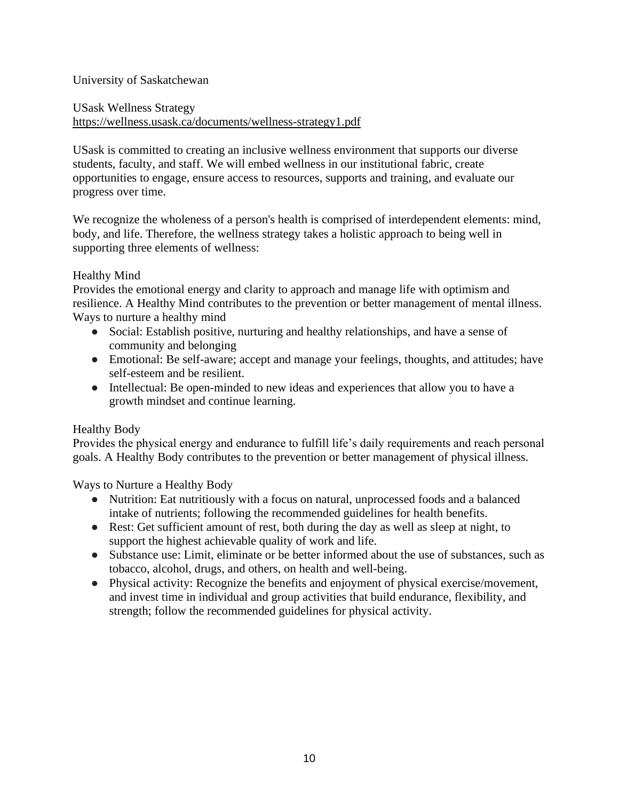# University of Saskatchewan

USask Wellness Strategy <https://wellness.usask.ca/documents/wellness-strategy1.pdf>

USask is committed to creating an inclusive wellness environment that supports our diverse students, faculty, and staff. We will embed wellness in our institutional fabric, create opportunities to engage, ensure access to resources, supports and training, and evaluate our progress over time.

We recognize the wholeness of a person's health is comprised of interdependent elements: mind, body, and life. Therefore, the wellness strategy takes a holistic approach to being well in supporting three elements of wellness:

# Healthy Mind

Provides the emotional energy and clarity to approach and manage life with optimism and resilience. A Healthy Mind contributes to the prevention or better management of mental illness. Ways to nurture a healthy mind

- Social: Establish positive, nurturing and healthy relationships, and have a sense of community and belonging
- Emotional: Be self-aware; accept and manage your feelings, thoughts, and attitudes; have self-esteem and be resilient.
- Intellectual: Be open-minded to new ideas and experiences that allow you to have a growth mindset and continue learning.

# Healthy Body

Provides the physical energy and endurance to fulfill life's daily requirements and reach personal goals. A Healthy Body contributes to the prevention or better management of physical illness.

Ways to Nurture a Healthy Body

- Nutrition: Eat nutritiously with a focus on natural, unprocessed foods and a balanced intake of nutrients; following the recommended guidelines for health benefits.
- Rest: Get sufficient amount of rest, both during the day as well as sleep at night, to support the highest achievable quality of work and life.
- Substance use: Limit, eliminate or be better informed about the use of substances, such as tobacco, alcohol, drugs, and others, on health and well-being.
- Physical activity: Recognize the benefits and enjoyment of physical exercise/movement, and invest time in individual and group activities that build endurance, flexibility, and strength; follow the recommended guidelines for physical activity.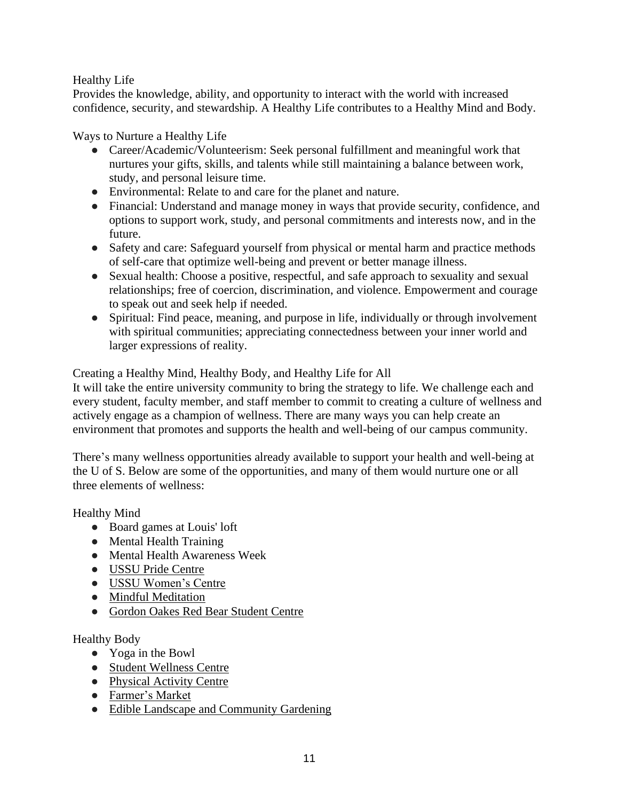# Healthy Life

Provides the knowledge, ability, and opportunity to interact with the world with increased confidence, security, and stewardship. A Healthy Life contributes to a Healthy Mind and Body.

Ways to Nurture a Healthy Life

- Career/Academic/Volunteerism: Seek personal fulfillment and meaningful work that nurtures your gifts, skills, and talents while still maintaining a balance between work, study, and personal leisure time.
- Environmental: Relate to and care for the planet and nature.
- Financial: Understand and manage money in ways that provide security, confidence, and options to support work, study, and personal commitments and interests now, and in the future.
- Safety and care: Safeguard yourself from physical or mental harm and practice methods of self-care that optimize well-being and prevent or better manage illness.
- Sexual health: Choose a positive, respectful, and safe approach to sexuality and sexual relationships; free of coercion, discrimination, and violence. Empowerment and courage to speak out and seek help if needed.
- Spiritual: Find peace, meaning, and purpose in life, individually or through involvement with spiritual communities; appreciating connectedness between your inner world and larger expressions of reality.

Creating a Healthy Mind, Healthy Body, and Healthy Life for All

It will take the entire university community to bring the strategy to life. We challenge each and every student, faculty member, and staff member to commit to creating a culture of wellness and actively engage as a champion of wellness. There are many ways you can help create an environment that promotes and supports the health and well-being of our campus community.

There's many wellness opportunities already available to support your health and well-being at the U of S. Below are some of the opportunities, and many of them would nurture one or all three elements of wellness:

Healthy Mind

- Board games at Louis' loft
- Mental Health Training
- Mental Health Awareness Week
- [USSU Pride Centre](https://ussu.ca/main-page/centres/pride-centre/)
- [USSU Women's Centre](https://ussu.ca/main-page/centres/womens-centre/)
- [Mindful Meditation](https://students.usask.ca/articles/mindfulness-meditation.php)
- [Gordon Oakes Red Bear Student Centre](http://aboriginal.usask.ca/gordon-oakes-red-bear-student-centre.php)

Healthy Body

- Yoga in the Bowl
- [Student Wellness Centre](https://students.usask.ca/health/centres/wellness-centre.php)
- [Physical Activity Centre](http://recservices.usask.ca/getfit/fit-centre/index.php)
- [Farmer's Market](https://sustainability.usask.ca/initiatives-and-events/campus-farmers-market.php)
- [Edible Landscape and Community Gardening](http://sustainability.usask.ca/footprint/outdoor-spaces.php)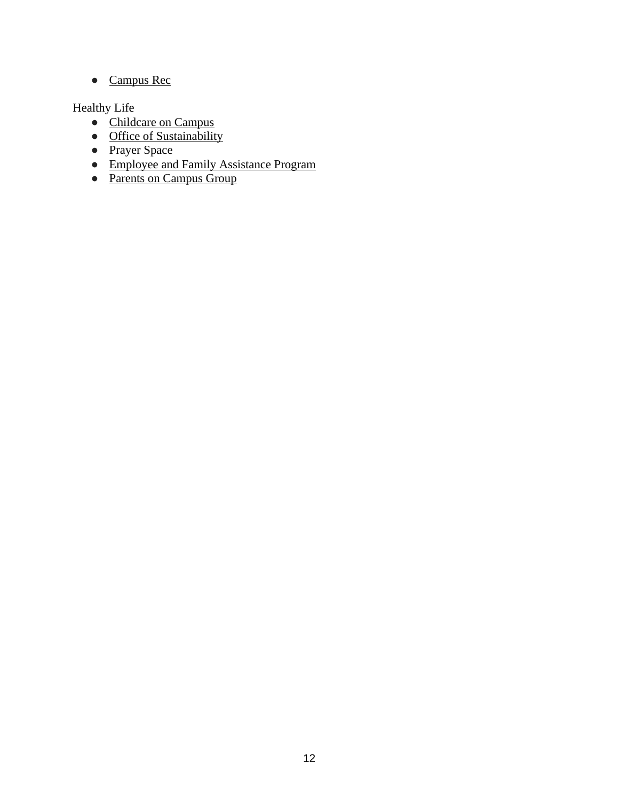● [Campus](http://recservices.usask.ca/campus-rec/index.php) Rec

Healthy Life

- [Childcare on Campus](https://students.usask.ca/essentials/housing.php#ChildCare)
- [Office of Sustainability](http://sustainability.usask.ca/)
- Prayer Space
- [Employee and Family Assistance Program](https://working.usask.ca/findmybenefits/employeeassistanceprogram.php)
- [Parents on Campus Group](http://www.usask.ca/groups/parents-on-campus/index.php)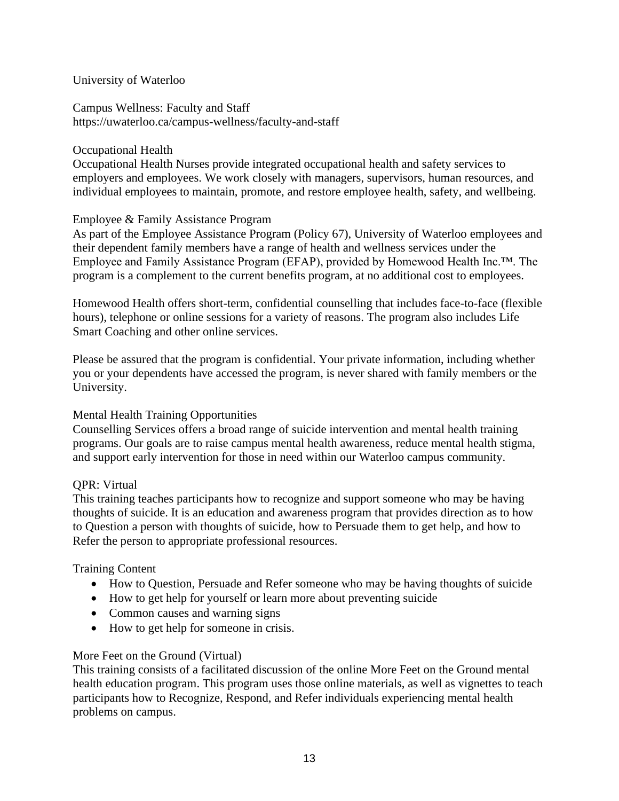# University of Waterloo

Campus Wellness: Faculty and Staff https://uwaterloo.ca/campus-wellness/faculty-and-staff

# Occupational Health

Occupational Health Nurses provide integrated occupational health and safety services to employers and employees. We work closely with managers, supervisors, human resources, and individual employees to maintain, promote, and restore employee health, safety, and wellbeing.

# Employee & Family Assistance Program

As part of the Employee Assistance Program (Policy 67), University of Waterloo employees and their dependent family members have a range of health and wellness services under the Employee and Family Assistance Program (EFAP), provided by Homewood Health Inc.™. The program is a complement to the current benefits program, at no additional cost to employees.

Homewood Health offers short-term, confidential counselling that includes face-to-face (flexible hours), telephone or online sessions for a variety of reasons. The program also includes Life Smart Coaching and other online services.

Please be assured that the program is confidential. Your private information, including whether you or your dependents have accessed the program, is never shared with family members or the University.

# Mental Health Training Opportunities

Counselling Services offers a broad range of suicide intervention and mental health training programs. Our goals are to raise campus mental health awareness, reduce mental health stigma, and support early intervention for those in need within our Waterloo campus community.

# QPR: Virtual

This training teaches participants how to recognize and support someone who may be having thoughts of suicide. It is an education and awareness program that provides direction as to how to Question a person with thoughts of suicide, how to Persuade them to get help, and how to Refer the person to appropriate professional resources.

# Training Content

- How to Question, Persuade and Refer someone who may be having thoughts of suicide
- How to get help for yourself or learn more about preventing suicide
- Common causes and warning signs
- How to get help for someone in crisis.

# More Feet on the Ground (Virtual)

This training consists of a facilitated discussion of the online More Feet on the Ground mental health education program. This program uses those online materials, as well as vignettes to teach participants how to Recognize, Respond, and Refer individuals experiencing mental health problems on campus.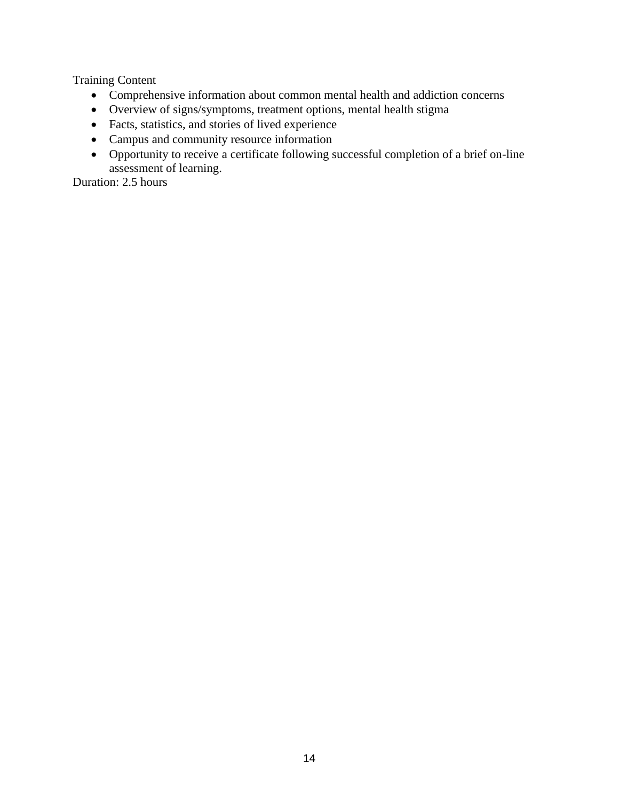Training Content

- Comprehensive information about common mental health and addiction concerns
- Overview of signs/symptoms, treatment options, mental health stigma
- Facts, statistics, and stories of lived experience
- Campus and community resource information
- Opportunity to receive a certificate following successful completion of a brief on-line assessment of learning.

Duration: 2.5 hours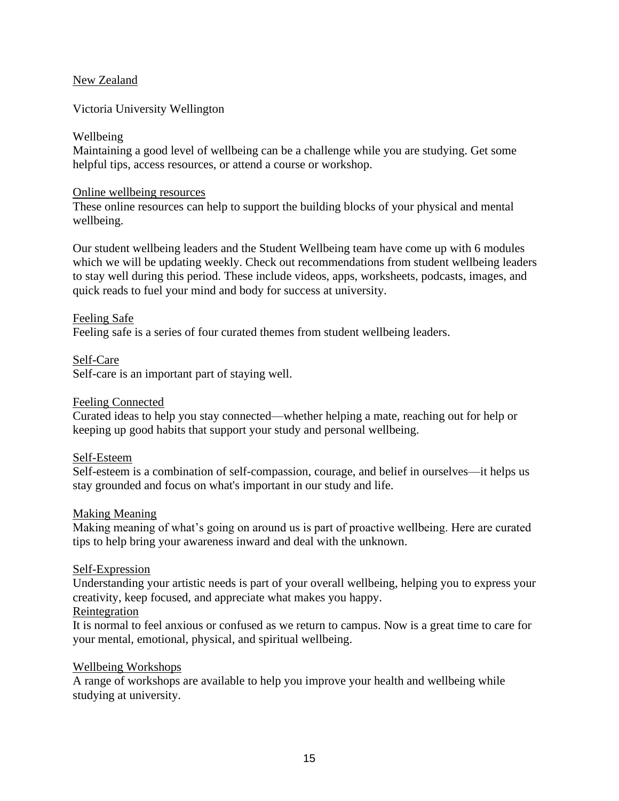# New Zealand

Victoria University Wellington

# Wellbeing

Maintaining a good level of wellbeing can be a challenge while you are studying. Get some [he](https://www.wgtn.ac.nz/students/campus/health/wellbeing/online-wellbeing-resources)lpful tips, access resources, or attend a course or workshop.

#### [Online wellbeing resources](https://www.wgtn.ac.nz/students/campus/health/wellbeing/online-wellbeing-resources)

[These online resources can help to support the building blocks of your physical and mental](https://www.wgtn.ac.nz/students/campus/health/wellbeing/online-wellbeing-resources)  [wellbeing.](https://www.wgtn.ac.nz/students/campus/health/wellbeing/online-wellbeing-resources)

Our student wellbeing leaders and the Student Wellbeing team have come up with 6 modules which we will be updating weekly. Check out recommendations from student wellbeing leaders to stay well during this period. These include videos, apps, worksheets, podcasts, images, and quick reads to fuel your mind and body for success at university.

# [Feeling Safe](https://www.wgtn.ac.nz/students/campus/health/wellbeing/online-wellbeing-resources/feeling-safe)

Feeling safe is a [series of four curated themes from student wellbeing leaders.](https://www.wgtn.ac.nz/students/campus/health/wellbeing/online-wellbeing-resources/feeling-safe)

[Self-Care](https://www.wgtn.ac.nz/students/campus/health/wellbeing/online-wellbeing-resources/self-care) [Self-care is an important part of staying well.](https://www.wgtn.ac.nz/students/campus/health/wellbeing/online-wellbeing-resources/self-care)

## [Feeling Connected](https://www.wgtn.ac.nz/students/campus/health/wellbeing/online-wellbeing-resources/feeling-connected)

Curated [ideas to help you stay connected—whether helping a mate, reaching out for help or](https://www.wgtn.ac.nz/students/campus/health/wellbeing/online-wellbeing-resources/feeling-connected)  [keeping up good habits that support your study and personal wellbeing.](https://www.wgtn.ac.nz/students/campus/health/wellbeing/online-wellbeing-resources/feeling-connected)

# [Self-Esteem](https://www.wgtn.ac.nz/students/campus/health/wellbeing/online-wellbeing-resources/self-esteem)

[Self-esteem is a combination of self-compassion, courage, and belief in ourselves—it helps us](https://www.wgtn.ac.nz/students/campus/health/wellbeing/online-wellbeing-resources/self-esteem)  [stay grounded and focus on what's important in our study and life.](https://www.wgtn.ac.nz/students/campus/health/wellbeing/online-wellbeing-resources/self-esteem)

# [Making Meaning](https://www.wgtn.ac.nz/students/campus/health/wellbeing/online-wellbeing-resources/making-meaning)

[Making meaning of what's going on around us is part of proactive wellbeing. Here are curated](https://www.wgtn.ac.nz/students/campus/health/wellbeing/online-wellbeing-resources/making-meaning)  [tips to help bring your awareness inward and deal with the unknown.](https://www.wgtn.ac.nz/students/campus/health/wellbeing/online-wellbeing-resources/making-meaning)

# [Self-Expression](https://www.wgtn.ac.nz/students/campus/health/wellbeing/online-wellbeing-resources/self-expression)

[Understanding your artistic needs is part of your overall wellbeing, helping you to express your](https://www.wgtn.ac.nz/students/campus/health/wellbeing/online-wellbeing-resources/self-expression)  [creativity, keep focused, and appreciate what makes you happy.](https://www.wgtn.ac.nz/students/campus/health/wellbeing/online-wellbeing-resources/self-expression)

# [Reintegration](https://www.wgtn.ac.nz/students/campus/health/wellbeing/online-wellbeing-resources/reintegration)

[It is normal to feel anxious or confused as we return to campus. Now is a great time to care for](https://www.wgtn.ac.nz/students/campus/health/wellbeing/online-wellbeing-resources/reintegration)  [your mental, emotional, physical,](https://www.wgtn.ac.nz/students/campus/health/wellbeing/online-wellbeing-resources/reintegration) and spiritual wellbeing.

#### [Wellbeing Workshops](https://www.wgtn.ac.nz/students/campus/health/wellbeing/programmes-and-workshops)

A range of workshops are available to help you improve your health and wellbeing while studying at university.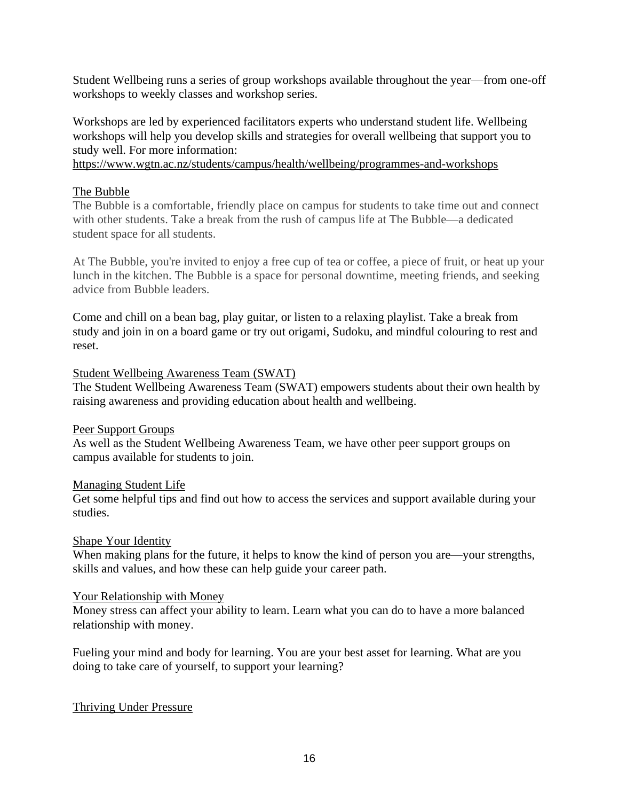Student Wellbeing runs a series of group workshops available throughout the year—from one-off workshops to weekly classes and workshop series.

Workshops are led by experienced facilitators experts who understand student life. Wellbeing workshops will help you develop skills and strategies for overall wellbeing that support you to study well. For more information:

<https://www.wgtn.ac.nz/students/campus/health/wellbeing/programmes-and-workshops>

# [The Bubble](https://www.wgtn.ac.nz/students/campus/health/wellbeing/the-bubble)

[The Bubble is a comfortable, friendly place on campus for students to take time out and connect](https://www.wgtn.ac.nz/students/campus/health/wellbeing/the-bubble)  [with other students. Take a break from the rush of campus life at The Bubble—a dedicated](https://www.wgtn.ac.nz/students/campus/health/wellbeing/the-bubble)  [student space for all students.](https://www.wgtn.ac.nz/students/campus/health/wellbeing/the-bubble)

[At The Bubble, you're invited to enjoy a free cup of tea or coffee, a piece of fruit, or heat up your](https://www.wgtn.ac.nz/students/campus/health/wellbeing/the-bubble)  lunch in the kitchen. [The Bubble is a space for personal downtime, meeting friends, and seeking](https://www.wgtn.ac.nz/students/campus/health/wellbeing/the-bubble)  [advice from Bubble leaders.](https://www.wgtn.ac.nz/students/campus/health/wellbeing/the-bubble)

Come and chill on a bean bag, play guitar, or listen to a relaxing playlist. Take a break from study and join in on a board game or try out origami, Sudoku, and mindful colouring to rest and reset.

#### [Student Wellbeing Awareness Team \(SWAT\)](https://www.wgtn.ac.nz/students/campus/health/wellbeing/team)

[The Student Wellbeing Awareness Team \(SWAT\) empowers students about their own health by](https://www.wgtn.ac.nz/students/campus/health/wellbeing/team)  [raising awareness and providing education about health and wellbeing.](https://www.wgtn.ac.nz/students/campus/health/wellbeing/team)

#### [Peer Support Groups](https://www.wgtn.ac.nz/students/campus/health/wellbeing/peer-groups)

As well [as the Student Wellbeing Awareness Team, we have other peer support groups on](https://www.wgtn.ac.nz/students/campus/health/wellbeing/peer-groups)  [campus available for students to join.](https://www.wgtn.ac.nz/students/campus/health/wellbeing/peer-groups)

#### [Managing Student Life](https://www.wgtn.ac.nz/students/campus/health/wellbeing/managing-your-wellbeing)

[Get some helpful tips and find out how to access the services and support available](https://www.wgtn.ac.nz/students/campus/health/wellbeing/managing-your-wellbeing) during your [studies.](https://www.wgtn.ac.nz/students/campus/health/wellbeing/managing-your-wellbeing)

#### [Shape Your Identity](https://www.wgtn.ac.nz/students/campus/health/wellbeing/identity)

When making plans for the future, it helps to know the kind of person you are—your strengths, skills and values, [and how these can help guide your career path.](https://www.wgtn.ac.nz/students/campus/health/wellbeing/identity)

#### [Your Relationship with Money](https://www.wgtn.ac.nz/students/campus/health/wellbeing/money)

[Money stress can affect your ability to learn. Learn what you can do to have a more balanced](https://www.wgtn.ac.nz/students/campus/health/wellbeing/money)  [relationship with money.](https://www.wgtn.ac.nz/students/campus/health/wellbeing/money)

[Fueling your mind and body for learning. You are your best asset for learning. What are you](https://www.wgtn.ac.nz/students/campus/health/wellbeing/fuel)  [doing to take care of yourself, to support your learning?](https://www.wgtn.ac.nz/students/campus/health/wellbeing/fuel)

# [Thriving Under Pressure](https://www.wgtn.ac.nz/students/campus/health/wellbeing/pressure)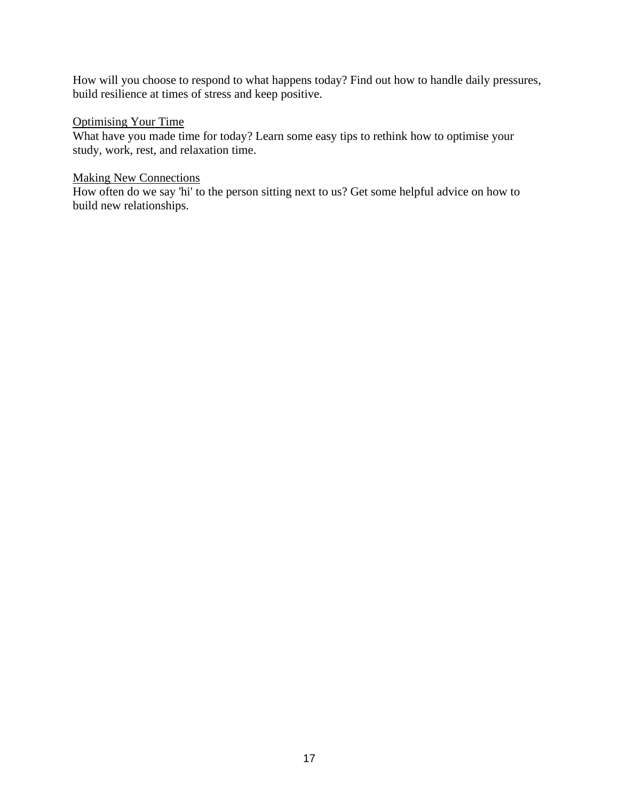[How will you choose to respond to what happens today? Find out how to handle daily pressures,](https://www.wgtn.ac.nz/students/campus/health/wellbeing/pressure)  [build resilience at times of stress and keep positive.](https://www.wgtn.ac.nz/students/campus/health/wellbeing/pressure)

# [Optimising Your Time](https://www.wgtn.ac.nz/students/campus/health/wellbeing/time)

[What have you made time for today? Learn some easy tips to rethink how to optimise your](https://www.wgtn.ac.nz/students/campus/health/wellbeing/time)  [study, work, rest, and relaxation time.](https://www.wgtn.ac.nz/students/campus/health/wellbeing/time)

# [Making New Connections](https://www.wgtn.ac.nz/students/campus/health/wellbeing/new-connections)

[How often do we say 'hi' to the person sitting next to us? Get some helpful advice on how to](https://www.wgtn.ac.nz/students/campus/health/wellbeing/new-connections)  [build new relationships.](https://www.wgtn.ac.nz/students/campus/health/wellbeing/new-connections)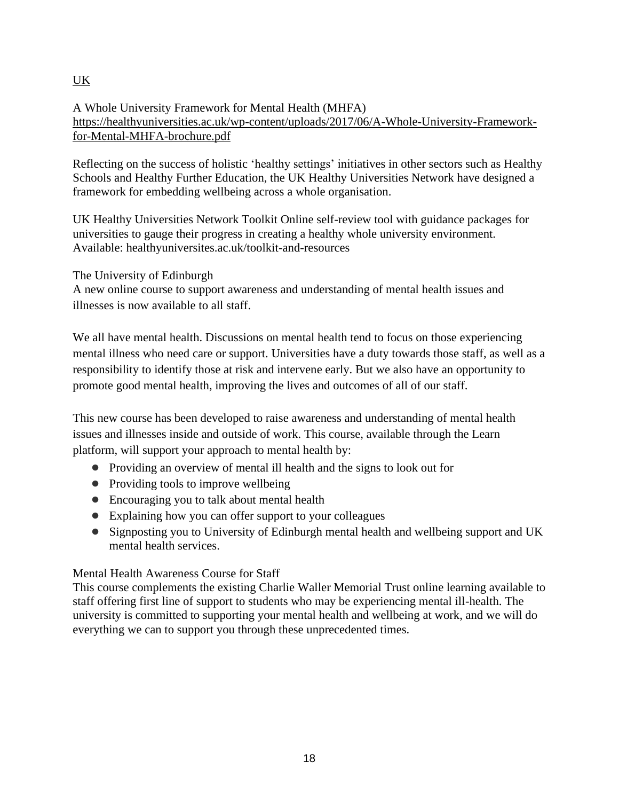# UK

A Whole University Framework for Mental Health (MHFA) [https://healthyuniversities.ac.uk/wp-content/uploads/2017/06/A-Whole-University-Framework](https://healthyuniversities.ac.uk/wp-content/uploads/2017/06/A-Whole-University-Framework-for-Mental-MHFA-brochure.pdf)[for-Mental-MHFA-brochure.pdf](https://healthyuniversities.ac.uk/wp-content/uploads/2017/06/A-Whole-University-Framework-for-Mental-MHFA-brochure.pdf)

Reflecting on the success of holistic 'healthy settings' initiatives in other sectors such as Healthy Schools and Healthy Further Education, the UK Healthy Universities Network have designed a framework for embedding wellbeing across a whole organisation.

UK Healthy Universities Network Toolkit Online self-review tool with guidance packages for universities to gauge their progress in creating a healthy whole university environment. Available: healthyuniversites.ac.uk/toolkit-and-resources

The University of Edinburgh

A new online course to support awareness and understanding of mental health issues and illnesses is now available to all staff.

We all have mental health. Discussions on mental health tend to focus on those experiencing mental illness who need care or support. Universities have a duty towards those staff, as well as a responsibility to identify those at risk and intervene early. But we also have an opportunity to promote good mental health, improving the lives and outcomes of all of our staff.

This new course has been developed to raise awareness and understanding of mental health issues and illnesses inside and outside of work. This course, available through the Learn platform, will support your approach to mental health by:

- Providing an overview of mental ill health and the signs to look out for
- Providing tools to improve wellbeing
- Encouraging you to talk about mental health
- Explaining how you can offer support to your colleagues
- Signposting you to University of Edinburgh mental health and wellbeing support and UK mental health services.

# Mental Health Awareness Course for Staff

This course complements the existing Charlie Waller Memorial Trust online learning available to staff offering first line of support to students who may be experiencing mental ill-health. The university is committed to supporting your mental health and wellbeing at work, and we will do everything we can to support you through these unprecedented times.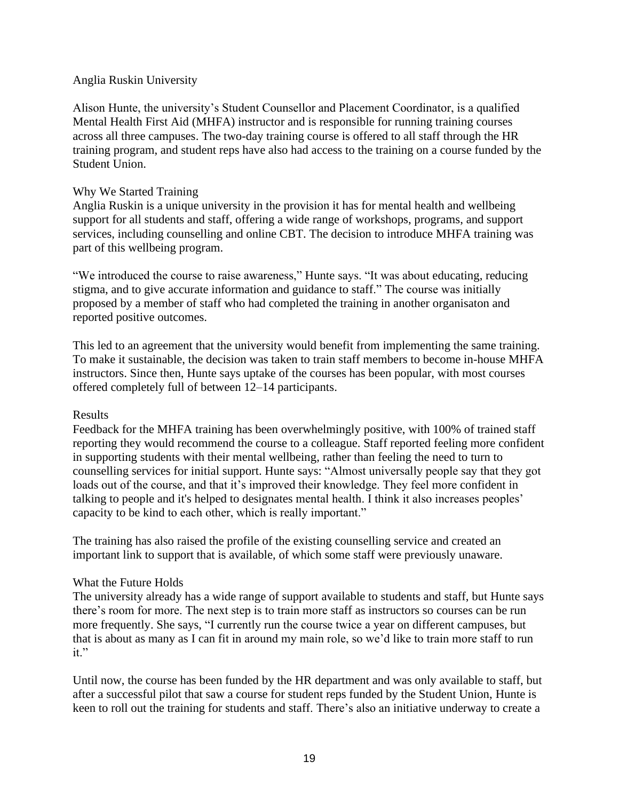# Anglia Ruskin University

Alison Hunte, the university's Student Counsellor and Placement Coordinator, is a qualified Mental Health First Aid (MHFA) instructor and is responsible for running training courses across all three campuses. The two-day training course is offered to all staff through the HR training program, and student reps have also had access to the training on a course funded by the Student Union.

## Why We Started Training

Anglia Ruskin is a unique university in the provision it has for mental health and wellbeing support for all students and staff, offering a wide range of workshops, programs, and support services, including counselling and online CBT. The decision to introduce MHFA training was part of this wellbeing program.

"We introduced the course to raise awareness," Hunte says. "It was about educating, reducing stigma, and to give accurate information and guidance to staff." The course was initially proposed by a member of staff who had completed the training in another organisaton and reported positive outcomes.

This led to an agreement that the university would benefit from implementing the same training. To make it sustainable, the decision was taken to train staff members to become in-house MHFA instructors. Since then, Hunte says uptake of the courses has been popular, with most courses offered completely full of between 12–14 participants.

# Results

Feedback for the MHFA training has been overwhelmingly positive, with 100% of trained staff reporting they would recommend the course to a colleague. Staff reported feeling more confident in supporting students with their mental wellbeing, rather than feeling the need to turn to counselling services for initial support. Hunte says: "Almost universally people say that they got loads out of the course, and that it's improved their knowledge. They feel more confident in talking to people and it's helped to designates mental health. I think it also increases peoples' capacity to be kind to each other, which is really important."

The training has also raised the profile of the existing counselling service and created an important link to support that is available, of which some staff were previously unaware.

# What the Future Holds

The university already has a wide range of support available to students and staff, but Hunte says there's room for more. The next step is to train more staff as instructors so courses can be run more frequently. She says, "I currently run the course twice a year on different campuses, but that is about as many as I can fit in around my main role, so we'd like to train more staff to run it."

Until now, the course has been funded by the HR department and was only available to staff, but after a successful pilot that saw a course for student reps funded by the Student Union, Hunte is keen to roll out the training for students and staff. There's also an initiative underway to create a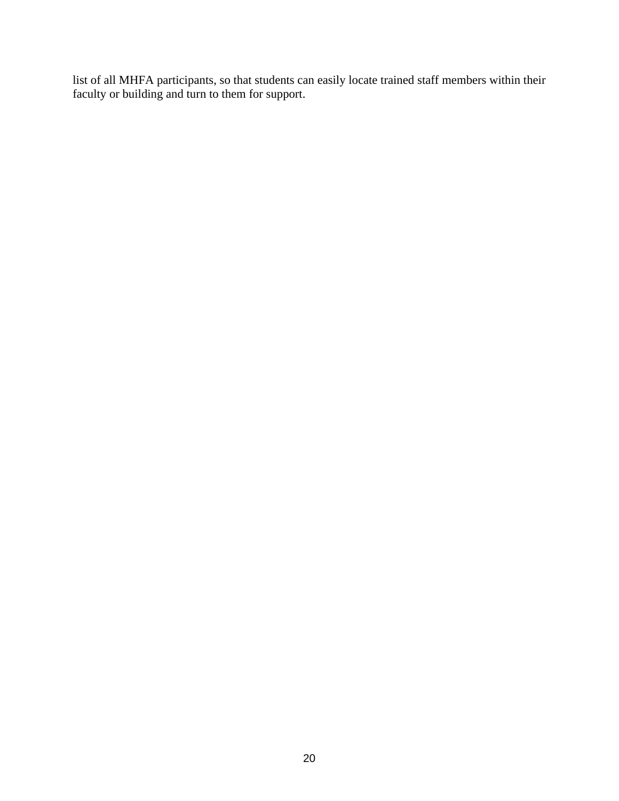list of all MHFA participants, so that students can easily locate trained staff members within their faculty or building and turn to them for support.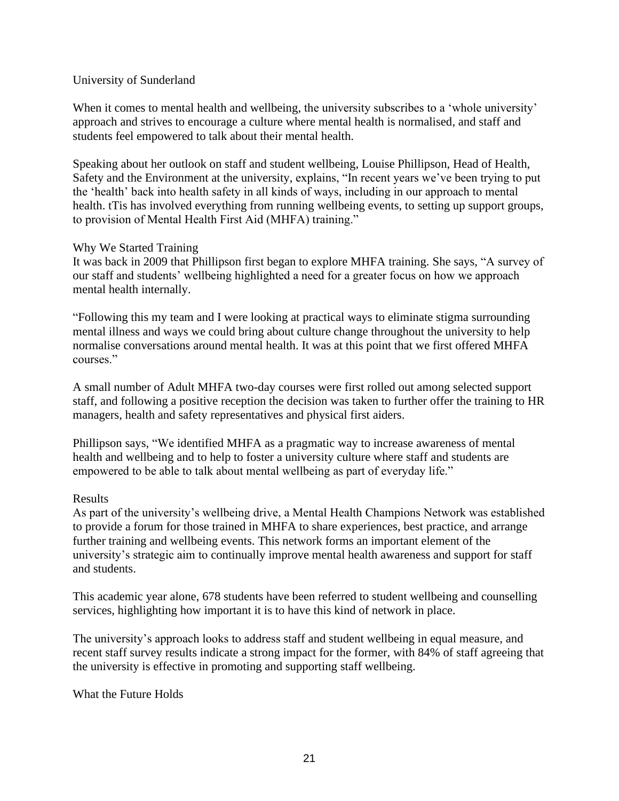# University of Sunderland

When it comes to mental health and wellbeing, the university subscribes to a 'whole university' approach and strives to encourage a culture where mental health is normalised, and staff and students feel empowered to talk about their mental health.

Speaking about her outlook on staff and student wellbeing, Louise Phillipson, Head of Health, Safety and the Environment at the university, explains, "In recent years we've been trying to put the 'health' back into health safety in all kinds of ways, including in our approach to mental health. tTis has involved everything from running wellbeing events, to setting up support groups, to provision of Mental Health First Aid (MHFA) training."

# Why We Started Training

It was back in 2009 that Phillipson first began to explore MHFA training. She says, "A survey of our staff and students' wellbeing highlighted a need for a greater focus on how we approach mental health internally.

"Following this my team and I were looking at practical ways to eliminate stigma surrounding mental illness and ways we could bring about culture change throughout the university to help normalise conversations around mental health. It was at this point that we first offered MHFA courses<sup>"</sup>

A small number of Adult MHFA two-day courses were first rolled out among selected support staff, and following a positive reception the decision was taken to further offer the training to HR managers, health and safety representatives and physical first aiders.

Phillipson says, "We identified MHFA as a pragmatic way to increase awareness of mental health and wellbeing and to help to foster a university culture where staff and students are empowered to be able to talk about mental wellbeing as part of everyday life."

# Results

As part of the university's wellbeing drive, a Mental Health Champions Network was established to provide a forum for those trained in MHFA to share experiences, best practice, and arrange further training and wellbeing events. This network forms an important element of the university's strategic aim to continually improve mental health awareness and support for staff and students.

This academic year alone, 678 students have been referred to student wellbeing and counselling services, highlighting how important it is to have this kind of network in place.

The university's approach looks to address staff and student wellbeing in equal measure, and recent staff survey results indicate a strong impact for the former, with 84% of staff agreeing that the university is effective in promoting and supporting staff wellbeing.

What the Future Holds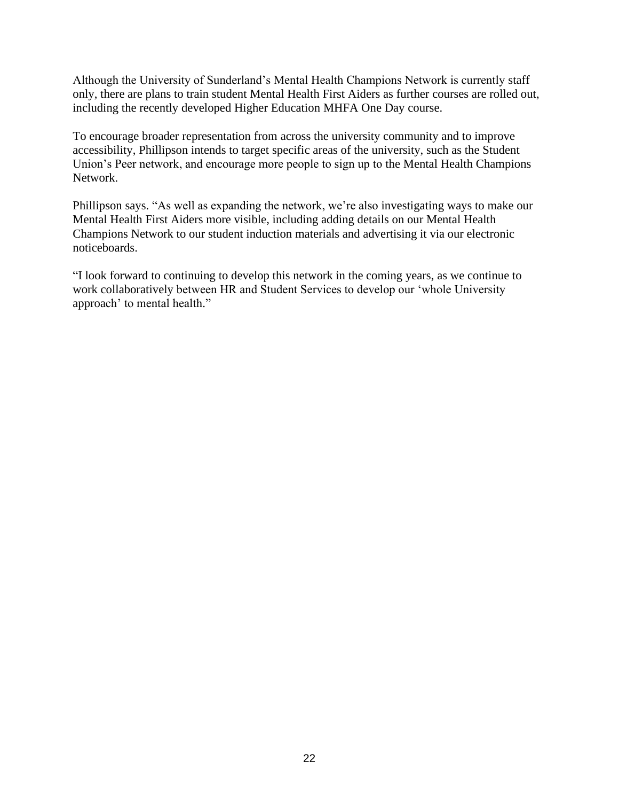Although the University of Sunderland's Mental Health Champions Network is currently staff only, there are plans to train student Mental Health First Aiders as further courses are rolled out, including the recently developed Higher Education MHFA One Day course.

To encourage broader representation from across the university community and to improve accessibility, Phillipson intends to target specific areas of the university, such as the Student Union's Peer network, and encourage more people to sign up to the Mental Health Champions Network.

Phillipson says. "As well as expanding the network, we're also investigating ways to make our Mental Health First Aiders more visible, including adding details on our Mental Health Champions Network to our student induction materials and advertising it via our electronic noticeboards.

"I look forward to continuing to develop this network in the coming years, as we continue to work collaboratively between HR and Student Services to develop our 'whole University approach' to mental health."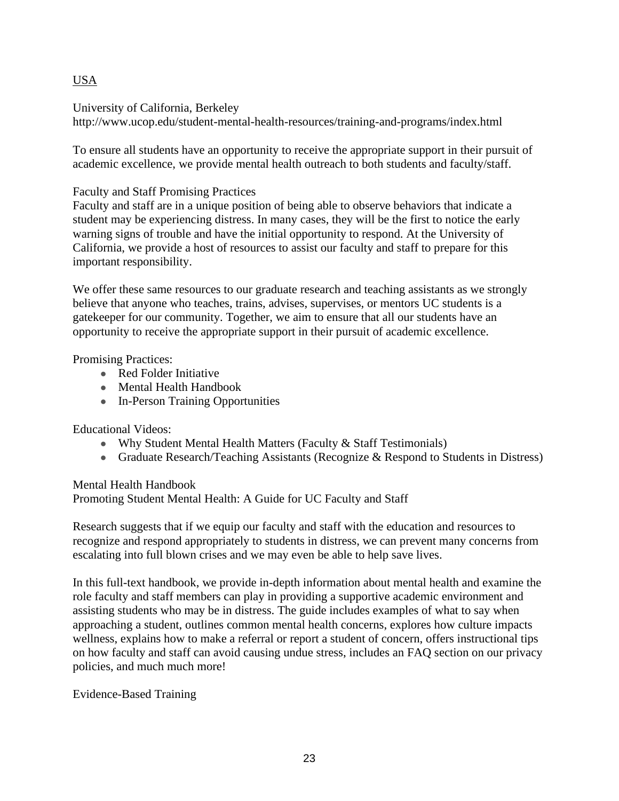# USA

University of California, Berkeley

http://www.ucop.edu/student-mental-health-resources/training-and-programs/index.html

To ensure all students have an opportunity to receive the appropriate support in their pursuit of academic excellence, we provide mental health outreach to both students and faculty/staff.

Faculty and Staff Promising Practices

Faculty and staff are in a unique position of being able to observe behaviors that indicate a student may be experiencing distress. In many cases, they will be the first to notice the early warning signs of trouble and have the initial opportunity to respond. At the University of California, we provide a host of resources to assist our faculty and staff to prepare for this important responsibility.

We offer these same resources to our graduate research and teaching assistants as we strongly believe that anyone who teaches, trains, advises, supervises, or mentors UC students is a gatekeeper for our community. Together, we aim to ensure that all our students have an opportunity to receive the appropriate support in their pursuit of academic excellence.

Promising Practices:

- [Red Folder Initiative](https://www.ucop.edu/student-mental-health-resources/training-and-programs/faculty-and-staff-outreach/red-folder-initiative.html)
- Mental Health Handbook
- [In-Person Training Opportunities](https://www.ucop.edu/student-mental-health-resources/suicide-prevention/certified-training.html)

Educational Videos:

- Why Student Mental Health Matters (Faculty & Staff Testimonials)
- Graduate Research/Teaching Assistants [\(Recognize & Respond to Students in Distress\)](https://www.youtube.com/playlist?list=PL-7zb9cvnihYaW5v8cy-LY7caI35VEZLZ)

Mental Health Handbook Promoting Student Mental Health: A Guide for UC Faculty and Staff

Research suggests that if we equip our faculty and staff with the education and resources to recognize and respond appropriately to students in distress, we can prevent many concerns from escalating into full blown crises and we may even be able to help save lives.

In this full-text handbook, we provide in-depth information about mental health and examine the role faculty and staff members can play in providing a supportive academic environment and assisting students who may be in distress. The guide includes examples of what to say when approaching a student, outlines common mental health concerns, explores how culture impacts wellness, explains how to make a referral or report a student of concern, offers instructional tips on how faculty and staff can avoid causing undue stress, includes an FAQ section on our privacy policies, and much much more!

Evidence-Based Training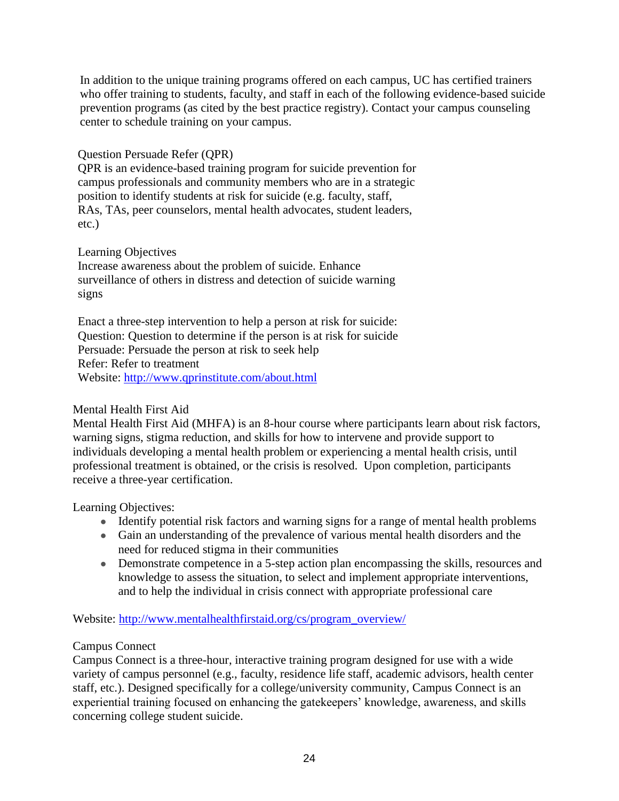In addition to the unique training programs offered on each campus, UC has certified trainers who offer training to students, faculty, and staff in each of the following evidence-based suicide prevention programs (as cited by the [best practice registry\)](http://www.sprc.org/bpr). Contact your [campus counseling](https://www.ucop.edu/student-mental-health-resources/index.html)  [center](https://www.ucop.edu/student-mental-health-resources/index.html) to schedule training on your campus.

# Question Persuade Refer (QPR)

QPR is an evidence-based training program for suicide prevention for campus professionals and community members who are in a strategic position to identify students at risk for suicide (e.g. faculty, staff, RAs, TAs, peer counselors, mental health advocates, student leaders, etc.)

# Learning Objectives

Increase awareness about the problem of suicide. Enhance surveillance of others in distress and detection of suicide warning signs

Enact a three-step intervention to help a person at risk for suicide: Question: Question to determine if the person is at risk for suicide Persuade: Persuade the person at risk to seek help Refer: Refer to treatment Website: <http://www.qprinstitute.com/about.html>

# Mental Health First Aid

Mental Health First Aid (MHFA) is an 8-hour course where participants learn about risk factors, warning signs, stigma reduction, and skills for how to intervene and provide support to individuals developing a mental health problem or experiencing a mental health crisis, until professional treatment is obtained, or the crisis is resolved. Upon completion, participants receive a three-year certification.

Learning Objectives:

- Identify potential risk factors and warning signs for a range of mental health problems
- Gain an understanding of the prevalence of various mental health disorders and the need for reduced stigma in their communities
- Demonstrate competence in a 5-step action plan encompassing the skills, resources and knowledge to assess the situation, to select and implement appropriate interventions, and to help the individual in crisis connect with appropriate professional care

Website: [http://www.mentalhealthfirstaid.org/cs/program\\_overview/](http://www.mentalhealthfirstaid.org/cs/program_overview/)

# Campus Connect

Campus Connect is a three-hour, interactive training program designed for use with a wide variety of campus personnel (e.g., faculty, residence life staff, academic advisors, health center staff, etc.). Designed specifically for a college/university community, Campus Connect is an experiential training focused on enhancing the gatekeepers' knowledge, awareness, and skills concerning college student suicide.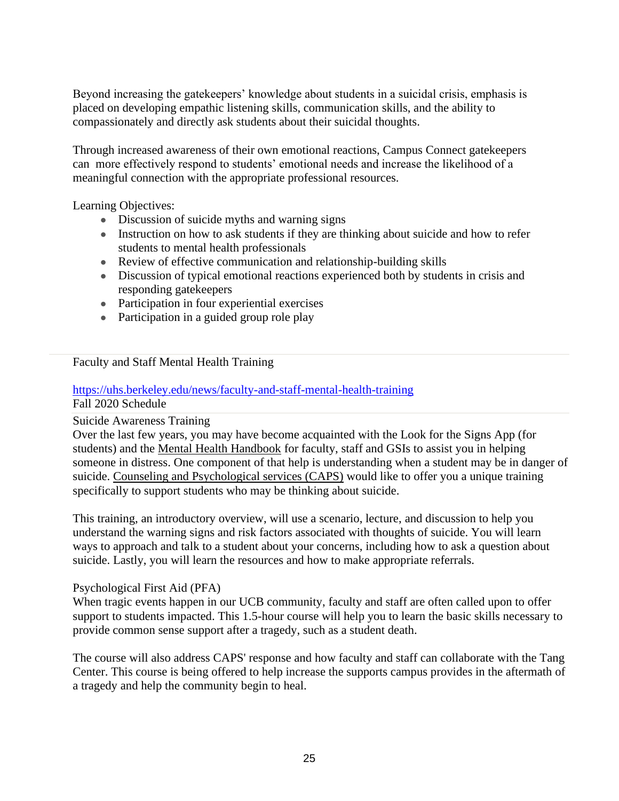Beyond increasing the gatekeepers' knowledge about students in a suicidal crisis, emphasis is placed on developing empathic listening skills, communication skills, and the ability to compassionately and directly ask students about their suicidal thoughts.

Through increased awareness of their own emotional reactions, Campus Connect gatekeepers can more effectively respond to students' emotional needs and increase the likelihood of a meaningful connection with the appropriate professional resources.

Learning Objectives:

- Discussion of suicide myths and warning signs
- Instruction on how to ask students if they are thinking about suicide and how to refer students to mental health professionals
- Review of effective communication and relationship-building skills
- Discussion of typical emotional reactions experienced both by students in crisis and responding gatekeepers
- Participation in four experiential exercises
- Participation in a guided group role play

# Faculty and Staff Mental Health Training

# <https://uhs.berkeley.edu/news/faculty-and-staff-mental-health-training>

Fall 2020 Schedule

# Suicide Awareness Training

Over the last few years, you may have become acquainted with the Look for the Signs App (for students) and the [Mental Health Handbook](https://uhs.berkeley.edu/counseling/prevention-education-outreach/mental-health-handbook) for faculty, staff and GSIs to assist you in helping someone in distress. One component of that help is understanding when a student may be in danger of suicide. [Counseling and Psychological services \(CAPS\)](https://uhs.berkeley.edu/caps) would like to offer you a unique training specifically to support students who may be thinking about suicide.

This training, an introductory overview, will use a scenario, lecture, and discussion to help you understand the warning signs and risk factors associated with thoughts of suicide. You will learn ways to approach and talk to a student about your concerns, including how to ask a question about suicide. Lastly, you will learn the resources and how to make appropriate referrals.

#### Psychological First Aid (PFA)

When tragic events happen in our UCB community, faculty and staff are often called upon to offer support to students impacted. This 1.5-hour course will help you to learn the basic skills necessary to provide common sense support after a tragedy, such as a student death.

The course will also address CAPS' response and how faculty and staff can collaborate with the Tang Center. This course is being offered to help increase the supports campus provides in the aftermath of a tragedy and help the community begin to heal.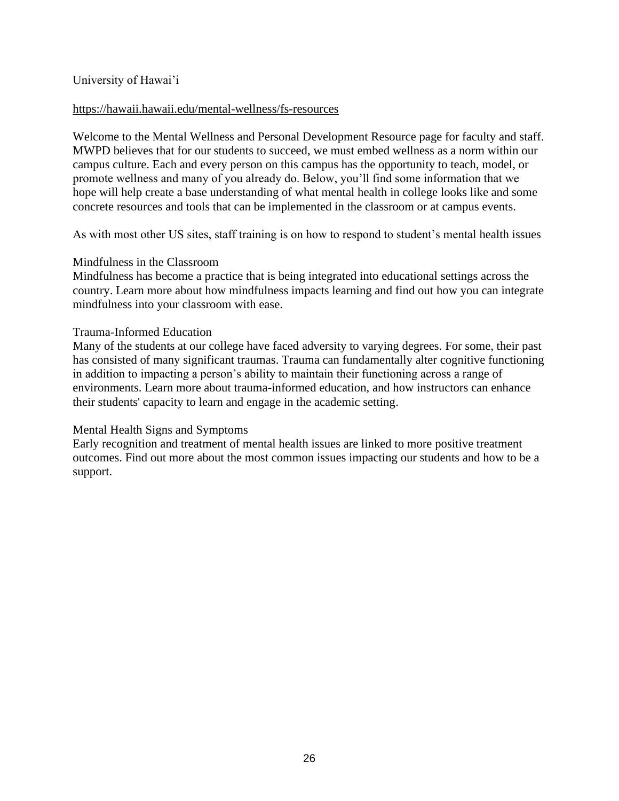# University of Hawai'i

#### <https://hawaii.hawaii.edu/mental-wellness/fs-resources>

Welcome to the Mental Wellness and Personal Development Resource page for faculty and staff. MWPD believes that for our students to succeed, we must embed wellness as a norm within our campus culture. Each and every person on this campus has the opportunity to teach, model, or promote wellness and many of you already do. Below, you'll find some information that we hope will help create a base understanding of what mental health in college looks like and some concrete resources and tools that can be implemented in the classroom or at campus events.

As with most other US sites, staff training is on how to respond to student's mental health issues

#### Mindfulness in the Classroom

Mindfulness has become a practice that is being integrated into educational settings across the country. [Learn more about how mindfulness impacts learning and find out how you can integrate](https://hawaii.hawaii.edu/mental-wellness/fs-resources/mindfulness)  [mindfulness into your classroom with ease.](https://hawaii.hawaii.edu/mental-wellness/fs-resources/mindfulness)

#### Trauma-Informed Education

Many of the students at our college have faced adversity to varying degrees. For some, their past has consisted of many significant traumas. Trauma can fundamentally alter cognitive functioning in addition to impacting a person's ability to maintain their functioning across a range of environments. [Learn more about trauma-informed education,](https://hawaii.hawaii.edu/mental-wellness/fs-resources/trauma) and how instructors can enhance [their students' capacity to learn and engage in the academic setting.](https://hawaii.hawaii.edu/mental-wellness/fs-resources/trauma)

# Mental Health Signs and Symptoms

Early recognition and treatment of mental health issues are linked to more positive treatment outcomes. [Find out more about the most common issues impacting our students and how to be a](https://hawaii.hawaii.edu/mental-wellness/fs-resources/signs)  [support.](https://hawaii.hawaii.edu/mental-wellness/fs-resources/signs)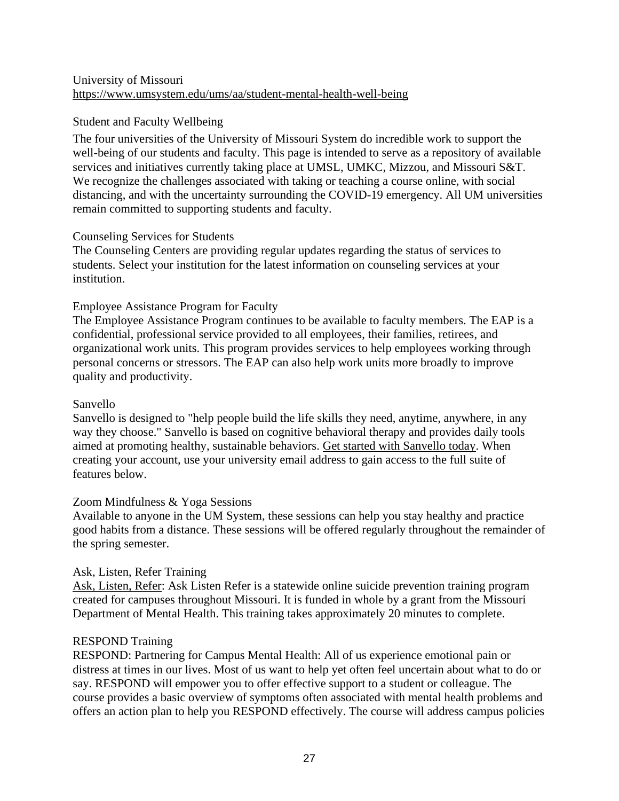# University of Missouri <https://www.umsystem.edu/ums/aa/student-mental-health-well-being>

# Student and Faculty Wellbeing

The four universities of the University of Missouri System do incredible work to support the well-being of our students and faculty. This page is intended to serve as a repository of available services and initiatives currently taking place at UMSL, UMKC, Mizzou, and Missouri S&T. We recognize the challenges associated with taking or teaching a course online, with social distancing, and with the uncertainty surrounding the COVID-19 emergency. All UM universities remain committed to supporting students and faculty.

# Counseling Services for Students

The Counseling Centers are providing regular updates regarding the status of services to students. Select your institution for the latest information on counseling services at your institution.

# Employee Assistance Program for Faculty

The Employee Assistance Program continues to be available to faculty members. The EAP is a confidential, professional service provided to all employees, their families, retirees, and organizational work units. This program provides services to help employees working through personal concerns or stressors. The EAP can also help work units more broadly to improve quality and productivity.

# Sanvello

Sanvello is designed to "help people build the life skills they need, anytime, anywhere, in any way they choose." Sanvello is based on cognitive behavioral therapy and provides daily tools aimed at promoting healthy, sustainable behaviors. [Get started with Sanvello today.](https://www.sanvello.com/) When creating your account, use your university email address to gain access to the full suite of features below.

# Zoom Mindfulness & Yoga Sessions

Available to anyone in the UM System, these sessions can help you stay healthy and practice good habits from a distance. These sessions will be offered regularly throughout the remainder of the spring semester.

# Ask, Listen, Refer Training

[Ask, Listen,](http://www.asklistenrefer.org/) Refer: Ask Listen Refer is a statewide online suicide prevention training program created for campuses throughout Missouri. It is funded in whole by a grant from the Missouri Department of Mental Health. This training takes approximately 20 minutes to complete.

# RESPOND Training

RESPOND: Partnering for Campus Mental Health: All of us experience emotional pain or distress at times in our lives. Most of us want to help yet often feel uncertain about what to do or say. RESPOND will empower you to offer effective support to a student or colleague. The course provides a basic overview of symptoms often associated with mental health problems and offers an action plan to help you RESPOND effectively. The course will address campus policies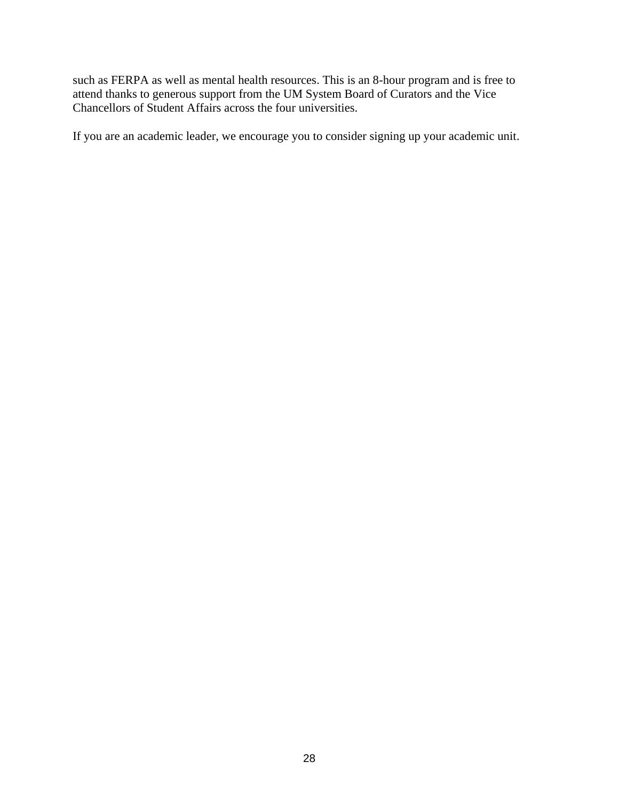such as FERPA as well as mental health resources. This is an 8-hour program and is free to attend thanks to generous support from the UM System Board of Curators and the Vice Chancellors of Student Affairs across the four universities.

If you are an academic leader, we encourage you to consider signing up your academic unit.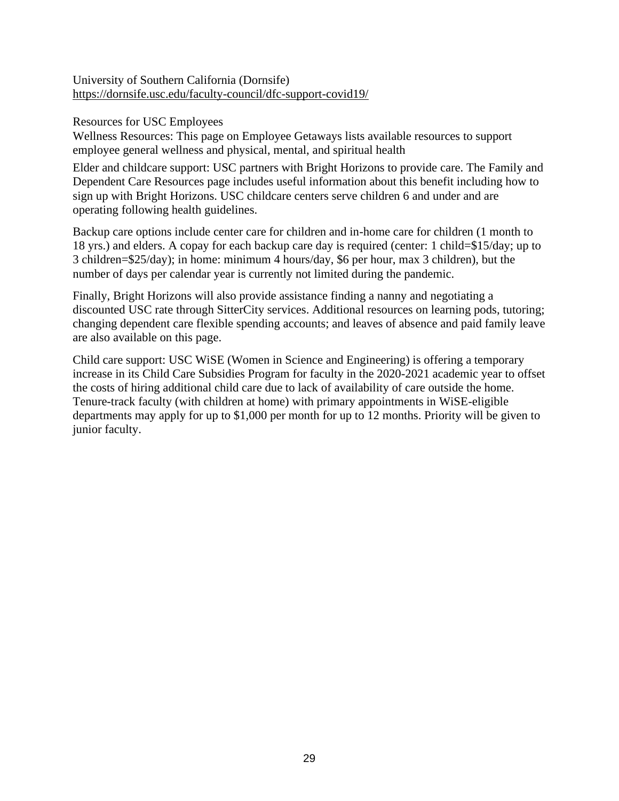University of Southern California (Dornsife) <https://dornsife.usc.edu/faculty-council/dfc-support-covid19/>

Resources for USC Employees

[Wellness Resources:](https://employees.usc.edu/wellness/) This page on Employee Getaways lists available resources to support employee general wellness and physical, mental, and spiritual health

Elder and childcare support: USC partners with Bright Horizons to provide care. The [Family and](https://employees.usc.edu/family-resources/)  [Dependent Care Resources](https://employees.usc.edu/family-resources/) page includes useful information about this benefit including how to sign up with Bright Horizons. USC childcare centers serve children 6 and under and are operating following [health guidelines.](https://www.brighthorizons.com/covid19)

Backup care options include center care for children and in-home care for children (1 month to 18 yrs.) and elders. A copay for each backup care day is required (center: 1 child=\$15/day; up to 3 children=\$25/day); in home: minimum 4 hours/day, \$6 per hour, max 3 children), but the number of days per calendar year is currently not limited during the pandemic.

Finally, Bright Horizons will also provide assistance finding a nanny and negotiating a discounted USC rate through SitterCity services. Additional resources on learning pods, tutoring; changing dependent care flexible spending accounts; and leaves of absence and paid family leave are also available on this page.

Child care support: USC WiSE (Women in Science and Engineering) is offering a temporary increase in its [Child Care Subsidies Program f](https://wise.usc.edu/programs/grants-and-awards/faculty/child-care-assistance-temp/)or faculty in the 2020-2021 academic year to offset the costs of hiring additional child care due to lack of availability of care outside the home. Tenure-track faculty (with children at home) with primary appointments in WiSE-eligible departments may apply for up to \$1,000 per month for up to 12 months. Priority will be given to junior faculty.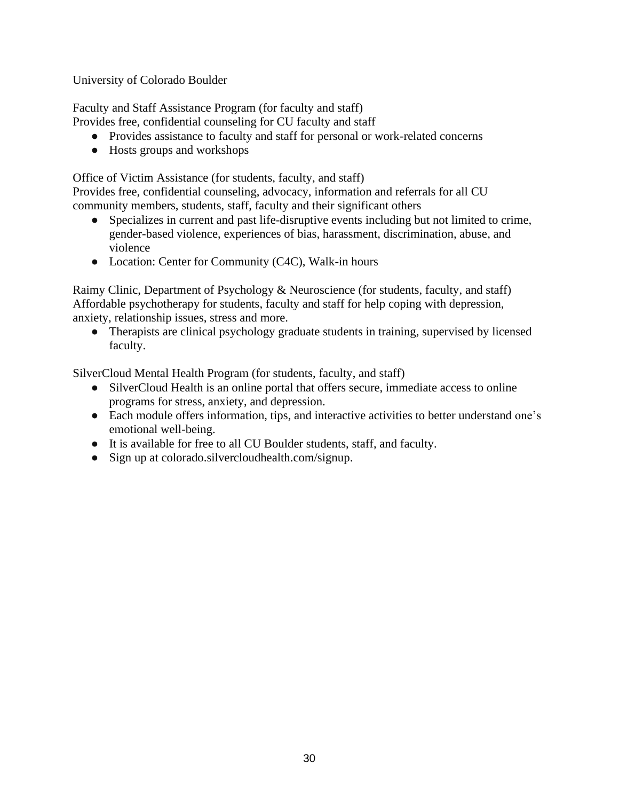University of Colorado Boulder

[Faculty and Staff Assistance Program \(for faculty and staff\)](https://www.colorado.edu/today/2018/09/28/campus-support-resources#expand-30114)

Provides free, confidential counseling for CU faculty and staff

- Provides assistance to faculty and staff for personal or work-related concerns
- Hosts groups and workshops

[Office of Victim Assistance \(for students, faculty,](https://www.colorado.edu/today/2018/09/28/campus-support-resources#expand-52103) and staff)

Provides free, confidential counseling, advocacy, information and referrals for all CU community members, students, staff, faculty and their significant others

- Specializes in current and past life-disruptive events including but not limited to crime, gender-based violence, experiences of bias, harassment, discrimination, abuse, and violence
- Location: Center for Community (C4C), Walk-in hours

[Raimy Clinic, Department of Psychology & Neuroscience \(for students, faculty,](https://www.colorado.edu/today/2018/09/28/campus-support-resources#expand-62578) and staff) Affordable psychotherapy for students, faculty and staff for help coping with depression, anxiety, relationship issues, stress and more.

● Therapists are clinical psychology graduate students in training, supervised by licensed faculty.

[SilverCloud Mental Health Program \(for students, faculty,](https://www.colorado.edu/today/2018/09/28/campus-support-resources#expand-33903) and staff)

- [SilverCloud Health](https://colorado.silvercloudhealth.com/signup/) is an online portal that offers secure, immediate access to online programs for stress, anxiety, and depression.
- Each module offers information, tips, and interactive activities to better understand one's emotional well-being.
- It is available for free to all CU Boulder students, staff, and faculty.
- Sign up at [colorado.silvercloudhealth.com/signup.](https://colorado.silvercloudhealth.com/signup/)